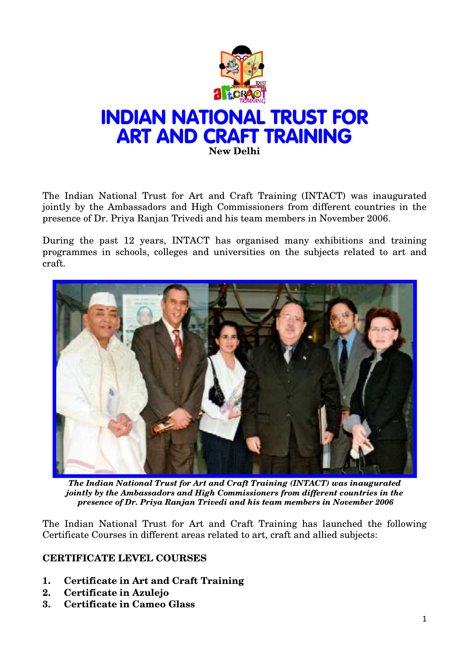

The Indian National Trust for Art and Craft Training (INTACT) was inaugurated jointly by the Ambassadors and High Commissioners from different countries in the presence of Dr. Priya Ranjan Trivedi and his team members in November 2006.

During the past 12 years, INTACT has organised many exhibitions and training programmes in schools, colleges and universities on the subjects related to art and craft.



*The Indian National Trust for Art and Craft Training (INTACT) was inaugurated jointly by the Ambassadors and High Commissioners from different countries in the presence of Dr. Priya Ranjan Trivedi and his team members in November 2006*

The Indian National Trust for Art and Craft Training has launched the following Certificate Courses in different areas related to art, craft and allied subjects:

## **CERTIFICATE LEVEL COURSES**

- **1. Certificate in Art and Craft Training**
- **2. Certificate in Azulejo**
- **3. Certificate in Cameo Glass**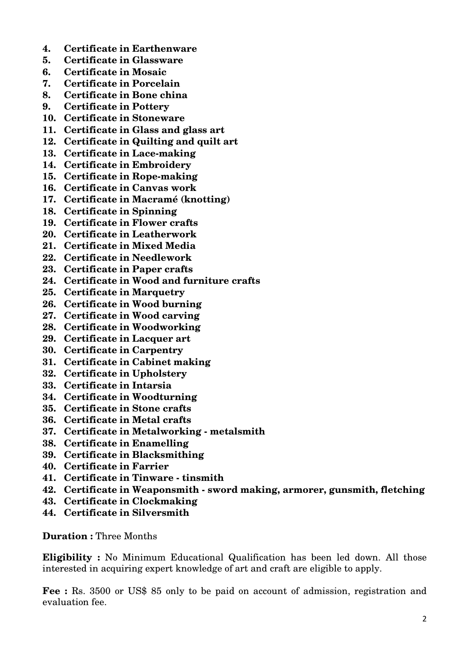- **4. Certificate in Earthenware**
- **5. Certificate in Glassware**
- **6. Certificate in Mosaic**
- **7. Certificate in Porcelain**
- **8. Certificate in Bone china**
- **9. Certificate in Pottery**
- **10. Certificate in Stoneware**
- **11. Certificate in Glass and glass art**
- **12. Certificate in Quilting and quilt art**
- **13. Certificate in Lace-making**
- **14. Certificate in Embroidery**
- **15. Certificate in Rope-making**
- **16. Certificate in Canvas work**
- **17. Certificate in Macramé (knotting)**
- **18. Certificate in Spinning**
- **19. Certificate in Flower crafts**
- **20. Certificate in Leatherwork**
- **21. Certificate in Mixed Media**
- **22. Certificate in Needlework**
- **23. Certificate in Paper crafts**
- **24. Certificate in Wood and furniture crafts**
- **25. Certificate in Marquetry**
- **26. Certificate in Wood burning**
- **27. Certificate in Wood carving**
- **28. Certificate in Woodworking**
- **29. Certificate in Lacquer art**
- **30. Certificate in Carpentry**
- **31. Certificate in Cabinet making**
- **32. Certificate in Upholstery**
- **33. Certificate in Intarsia**
- **34. Certificate in Woodturning**
- **35. Certificate in Stone crafts**
- **36. Certificate in Metal crafts**
- **37. Certificate in Metalworking metalsmith**
- **38. Certificate in Enamelling**
- **39. Certificate in Blacksmithing**
- **40. Certificate in Farrier**
- **41. Certificate in Tinware tinsmith**
- **42. Certificate in Weaponsmith sword making, armorer, gunsmith, fletching**
- **43. Certificate in Clockmaking**
- **44. Certificate in Silversmith**

**Duration :** Three Months

**Eligibility :** No Minimum Educational Qualification has been led down. All those interested in acquiring expert knowledge of art and craft are eligible to apply.

**Fee :** Rs. 3500 or US\$ 85 only to be paid on account of admission, registration and evaluation fee.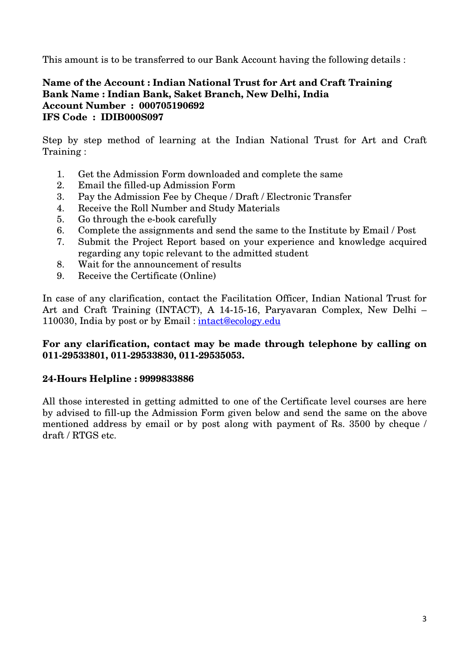This amount is to be transferred to our Bank Account having the following details :

## **Name of the Account : Indian National Trust for Art and Craft Training Bank Name : Indian Bank, Saket Branch, New Delhi, India Account Number : 000705190692 IFS Code : IDIB000S097**

Step by step method of learning at the Indian National Trust for Art and Craft Training :

- 1. Get the Admission Form downloaded and complete the same
- 2. Email the filled-up Admission Form
- 3. Pay the Admission Fee by Cheque / Draft / Electronic Transfer
- 4. Receive the Roll Number and Study Materials
- 5. Go through the e-book carefully
- 6. Complete the assignments and send the same to the Institute by Email / Post
- 7. Submit the Project Report based on your experience and knowledge acquired regarding any topic relevant to the admitted student
- 8. Wait for the announcement of results
- 9. Receive the Certificate (Online)

In case of any clarification, contact the Facilitation Officer, Indian National Trust for Art and Craft Training (INTACT), A 14-15-16, Paryavaran Complex, New Delhi – 110030, India by post or by Email : intact@ecology.edu

#### **For any clarification, contact may be made through telephone by calling on 011-29533801, 011-29533830, 011-29535053.**

# **24-Hours Helpline : 9999833886**

All those interested in getting admitted to one of the Certificate level courses are here by advised to fill-up the Admission Form given below and send the same on the above mentioned address by email or by post along with payment of Rs. 3500 by cheque / draft / RTGS etc.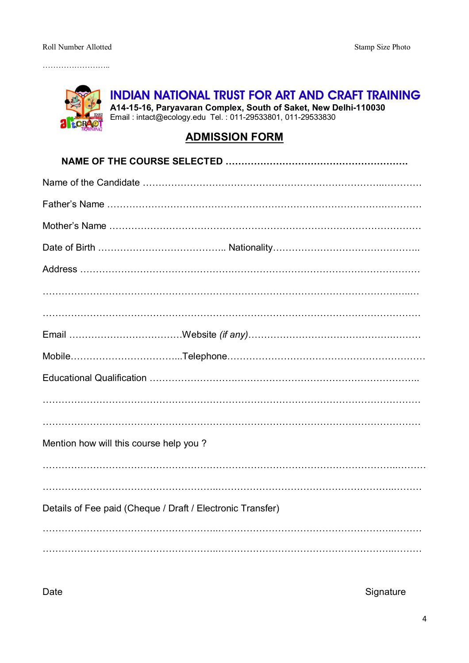

**INDIAN NATIONAL TRUST FOR ART AND CRAFT TRAINING**

**A14-15-16, Paryavaran Complex, South of Saket, New Delhi-110030** Email : intact@ecology.edu Tel. : 011-29533801, 011-29533830

# **ADMISSION FORM**

| Mention how will this course help you?                     |
|------------------------------------------------------------|
|                                                            |
| Details of Fee paid (Cheque / Draft / Electronic Transfer) |
|                                                            |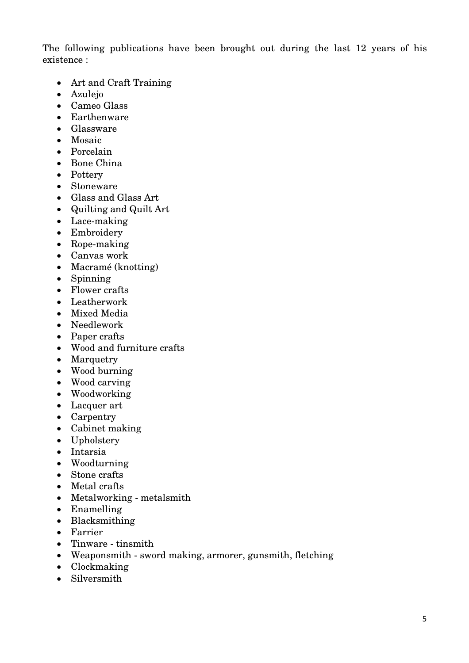The following publications have been brought out during the last 12 years of his existence :

- Art and Craft Training
- Azulejo
- Cameo Glass
- Earthenware
- Glassware
- Mosaic
- Porcelain
- Bone China
- Pottery
- Stoneware
- Glass and Glass Art
- Quilting and Quilt Art
- Lace-making
- Embroidery
- Rope-making
- Canvas work
- Macramé (knotting)
- Spinning
- Flower crafts
- Leatherwork
- Mixed Media
- Needlework
- Paper crafts
- Wood and furniture crafts
- Marquetry
- Wood burning
- Wood carving
- Woodworking
- Lacquer art
- Carpentry
- Cabinet making
- Upholstery
- Intarsia
- Woodturning
- Stone crafts
- Metal crafts
- Metalworking metalsmith
- Enamelling
- Blacksmithing
- Farrier
- Tinware tinsmith
- Weaponsmith sword making, armorer, gunsmith, fletching
- Clockmaking
- Silversmith